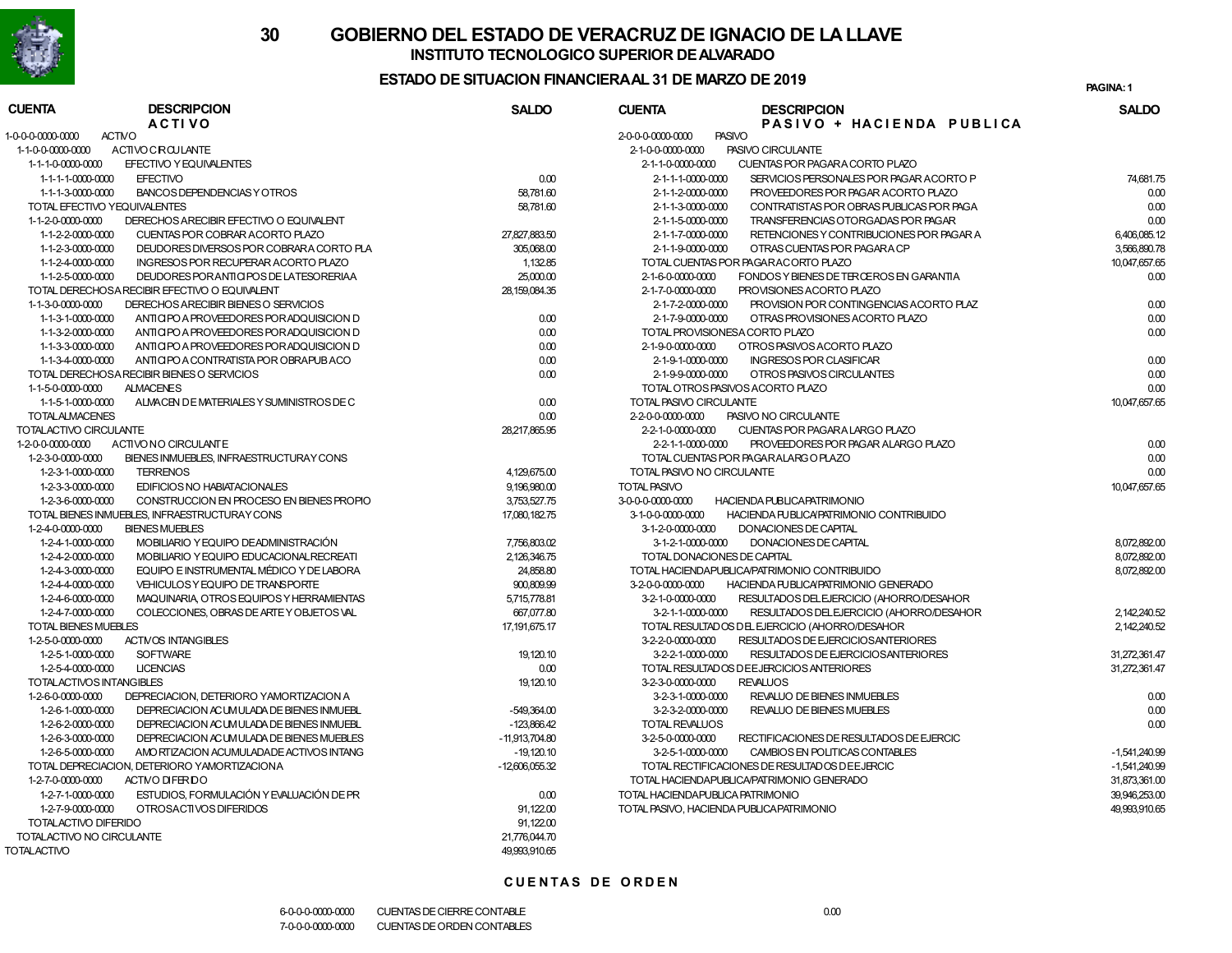

### **ESTADO DE SITUACION FINANCIERA AL 31 DE MARZO DE 2019**

**1PAGINA:**

| <b>CUENTA</b>                      | <b>DESCRIPCION</b><br><b>ACTIVO</b>           | <b>SALDO</b>     | <b>CUENTA</b>                 | <b>DESCRIPCION</b><br>PASIVO + HACIENDA PUBLICA | <b>SALDO</b>  |
|------------------------------------|-----------------------------------------------|------------------|-------------------------------|-------------------------------------------------|---------------|
| 1-0-0-0-0000-0000<br><b>ACTIVO</b> |                                               |                  | 2-0-0-0-0000-0000             | <b>PASIVO</b>                                   |               |
| 1-1-0-0-0000-0000                  | <b>ACTIVOCROULANTE</b>                        |                  | 2-1-0-0-0000-0000             | PASIVO CIRCULANTE                               |               |
| 1-1-1-0-0000-0000                  | EFECTIVO Y EQUIVALENTES                       |                  | 2-1-1-0-0000-0000             | CUENTAS POR PAGARA CORTO PLAZO                  |               |
| 1-1-1-1-0000-0000                  | <b>EFECTIVO</b>                               | 0.00             | 2-1-1-1-0000-0000             | SERVICIOS PERSONALES POR PAGAR ACORTO P         | 74,681.75     |
| 1-1-1-3-0000-0000                  | BANCOS DEPENDENCIAS Y OTROS                   | 58,781.60        | 2-1-1-2-0000-0000             | PROVEEDORES POR PAGAR ACORTO PLAZO              | 0.00          |
| TOTAL EFECTIVO YEQUIVALENTES       |                                               | 58,781.60        | 2-1-1-3-0000-0000             | CONTRATISTAS POR OBRAS PUBLICAS POR PAGA        | 0.00          |
| 1-1-2-0-0000-0000                  | DERECHOS ARECIBIR EFECTIVO O EQUIVALENT       |                  | 2-1-1-5-0000-0000             | TRANSFERENCIAS OTORGADAS POR PAGAR              | 0.00          |
| 1-1-2-2-0000-0000                  | CUENTAS POR COBRAR ACORTO PLAZO               | 27,827,883.50    | 2-1-1-7-0000-0000             | RETENCIONES Y CONTRIBUCIONES POR PAGAR A        | 6,406,085.12  |
| 1-1-2-3-0000-0000                  | DEUDORES DIVERSOS POR COBRARA CORTO PLA       | 305,068.00       | 2-1-1-9-0000-0000             | OTRAS CUENTAS POR PAGARA CP                     | 3,566,890.78  |
| 1-1-2-4-0000-0000                  | INGRESOS POR RECUPERAR ACORTO PLAZO           | 1,132.85         |                               | TOTAL CUENTAS POR PAGARACORTO PLAZO             | 10,047,657.65 |
| 1-1-2-5-0000-0000                  | DEUDORES POR ANTICIPOS DE LATESORERIAA        | 25,000.00        | 2-1-6-0-0000-0000             | FONDOS Y BIENES DE TERCEROS EN GARANTIA         | 0.00          |
|                                    | TOTAL DERECHOSA RECIBIR EFECTIVO O EQUIVALENT | 28,159,084.35    | 2-1-7-0-0000-0000             | PROVISIONES ACORTO PLAZO                        |               |
| 1-1-3-0-0000-0000                  | DERECHOS ARECIBIR BIENES O SERVICIOS          |                  | 2-1-7-2-0000-0000             | PROVISION POR CONTINGENCIAS ACORTO PLAZ         | 0.00          |
| 1-1-3-1-0000-0000                  | ANTICIPO A PROVEEDORES PORADQUISICION D       | 0.00             | 2-1-7-9-0000-0000             | OTRAS PROVISIONES ACORTO PLAZO                  | 0.00          |
| 1-1-3-2-0000-0000                  | ANTICIPO A PROVEEDORES POR ADQUISICION D      | 0.00             |                               | TOTAL PROVISIONES A CORTO PLAZO                 | 0.00          |
| 1-1-3-3-0000-0000                  | ANTICIPO A PROVEEDORES POR ADQUISICION D      | 0.00             | 2-1-9-0-0000-0000             | OTROS PASIVOS ACORTO PLAZO                      |               |
| 1-1-3-4-0000-0000                  | ANTICIPO A CONTRATISTA POR OBRAPUBACO         | 0.00             | 2-1-9-1-0000-0000             | <b>INGRESOS POR CLASIFICAR</b>                  | 0.00          |
|                                    | TOTAL DERECHOSA RECIBIR BIENES O SERVICIOS    | 0.00             | 2-1-9-9-0000-0000             | OTROS PASIVOS CIRCULANTES                       | 0.00          |
| 1-1-5-0-0000-0000                  | <b>ALMACENES</b>                              |                  |                               | TOTAL OTROS PASIVOS ACORTO PLAZO                | 0.00          |
| 1-1-5-1-0000-0000                  | ALMACEN DE MATERIALES Y SUMINISTROS DE C      | 0.00             | TOTAL PASIVO CIRCULANTE       |                                                 | 10,047,657.65 |
| <b>TOTAL ALMACENES</b>             |                                               | 0.00             | 2-2-0-0-0000-0000             | PASIVO NO CIRCULANTE                            |               |
| TOTALACTIVO CIRCULANTE             |                                               | 28.217.865.95    | 2-2-1-0-0000-0000             | CUENTAS POR PAGARA LARGO PLAZO                  |               |
| 1-2-0-0-0000-0000                  | ACTIVONO CIRCULANTE                           |                  | $2 - 2 - 1 - 1 - 0000 - 0000$ | PROVEEDORES POR PAGAR ALARGO PLAZO              | 0.00          |
| 1-2-3-0-0000-0000                  | BIENES INMUEBLES, INFRAESTRUCTURAY CONS       |                  |                               | TOTAL CUENTAS POR PAGARALARG O PLAZO            | 0.00          |
| 1-2-3-1-0000-0000                  | <b>TERRENOS</b>                               | 4,129,675.00     | TOTAL PASIVO NO CIRCULANTE    |                                                 | 0.00          |
| 1-2-3-3-0000-0000                  | EDIFICIOS NO HABIATACIONALES                  | 9,196,980.00     | TOTAL PASIVO                  |                                                 | 10,047,657.65 |
| 1-2-3-6-0000-0000                  | CONSTRUCCION EN PROCESO EN BIENES PROPIO      | 3,753,527.75     | 3-0-0-0-0000-0000             | <b>HACIENDA PUBLICA PATRIMONIO</b>              |               |
|                                    | TOTAL BIENES INMUEBLES, INFRAESTRUCTURAY CONS | 17,080,182.75    | 3-1-0-0-0000-0000             | HACIENDA PUBLICA/PATRIMONIO CONTRIBUIDO         |               |
| 1-2-4-0-0000-0000                  | <b>BIENES MUEBLES</b>                         |                  | 3-1-2-0-0000-0000             | <b>DONACIONES DE CAPITAL</b>                    |               |
| 1-2-4-1-0000-0000                  | MOBILIARIO Y EQUIPO DE ADMINISTRACIÓN         | 7,756,803.02     | 3-1-2-1-0000-0000             | DONACIONES DE CAPITAL                           | 8,072,892.00  |
| 1-2-4-2-0000-0000                  | MOBILIARIO Y EQUIPO EDUCACIONAL RECREATI      | 2,126,346.75     |                               | TOTAL DONACIONES DE CAPITAL                     | 8,072,892.00  |
| 1-2-4-3-0000-0000                  | EQUIPO E INSTRUMENTAL MÉDICO Y DE LABORA      | 24,858.80        |                               | TOTAL HACIENDAPUBLICA/PATRIMONIO CONTRIBUIDO    | 8,072,892.00  |
| 1-2-4-4-0000-0000                  | VEHICULOS Y EQUIPO DE TRANSPORTE              | 900,809.99       | 3-2-0-0-0000-0000             | HACIENDA PUBLICAPATRIMONIO GENERADO             |               |
| 1-2-4-6-0000-0000                  | MAQUINARIA, OTROS EQUIPOS Y HERRAMIENTAS      | 5,715,778.81     | 3-2-1-0-0000-0000             | RESULTADOS DEL EJERCICIO (AHORRO/DESAHOR        |               |
| 1-2-4-7-0000-0000                  | COLECCIONES, OBRAS DE ARTEY OBJETOS VAL       | 667,077.80       | 3-2-1-1-0000-0000             | RESULTADOS DEL EJERCICIO (AHORRO/DESAHOR        | 2.142.240.52  |
| TOTAL BIENES MUEBLES               |                                               | 17, 191, 675. 17 |                               | TOTAL RESULTADOS DEL EJERCICIO (AHORRO/DESAHOR  | 2,142,240.52  |
| 1-2-5-0-0000-0000                  | <b>ACTIVOS INTANGIBLES</b>                    |                  | 3-2-2-0-0000-0000             | RESULTADOS DE EJERCICIOS ANTERIORES             |               |
| 1-2-5-1-0000-0000                  | <b>SOFTWARE</b>                               | 19,120.10        | 3-2-2-1-0000-0000             | RESULTADOS DE EJERCICIOSANTERIORES              | 31,272,361.47 |
| 1-2-5-4-0000-0000                  | <b>LICENCIAS</b>                              | 0.00             |                               | TOTAL RESULTADOS DE EJERCICIOS ANTERIORES       | 31,272,361.47 |
| TOTALACTIVOS INTANGIBLES           |                                               | 19, 120.10       | 3-2-3-0-0000-0000             | <b>REVALUOS</b>                                 |               |
| 1-2-6-0-0000-0000                  | DEPRECIACION, DETERIORO YAMORTIZACION A       |                  | 3-2-3-1-0000-0000             | REVALUO DE BIENES INMUEBLES                     | 0.00          |
| 1-2-6-1-0000-0000                  | DEPRECIACION ACUMULADA DE BIENES INMUEBL      | -549,364.00      | 3-2-3-2-0000-0000             | REVALUO DE BIENES MUEBLES                       | 0.00          |
| 1-2-6-2-0000-0000                  | DEPRECIACION ACUMULADA DE BIENES INMUEBL      | $-123,866.42$    | <b>TOTAL REVALUOS</b>         |                                                 | 0.00          |
| 1-2-6-3-0000-0000                  | DEPRECIACION ACUMULADA DE BIENES MUEBLES      | $-11,913,704.80$ | 3-2-5-0-0000-0000             | RECTIFICACIONES DE RESULTADOS DE EJERCIC        |               |
| 1-2-6-5-0000-0000                  | AMO RTIZACION ACUMULADADE ACTIVOS INTANG      | $-19,120.10$     | 3-2-5-1-0000-0000             | CAMBIOS EN POLITICAS CONTABLES                  | -1.541.240.99 |
|                                    | TOTAL DEPRECIACION, DETERIORO YAMORTIZACIONA  | $-12,606,055.32$ |                               | TO TAL RECTIFICACIONES DE RESULTADOS DE EJERCIC | -1,541,240.99 |
| 1-2-7-0-0000-0000                  | ACTMO DIFERIDO                                |                  |                               | TOTAL HACIENDAPUBLICA/PATRIMONIO GENERADO       | 31,873,361.00 |
| 1-2-7-1-0000-0000                  | ESTUDIOS, FORMULACIÓN Y EVALUACIÓN DE PR      | 0.00             |                               | TOTAL HACIENDA PUBLICA PATRIMONIO               | 39,946,253.00 |
| 1-2-7-9-0000-0000                  | OTROSACTIVOS DIFERIDOS                        | 91.122.00        |                               | TOTAL PASIVO. HACIENDA PUBLICA PATRIMONIO       | 49.993.910.65 |
| TOTALACTIVO DIFERIDO               |                                               | 91,122.00        |                               |                                                 |               |
| TOTALACTIVO NO CIRCULANTE          |                                               | 21,776,044.70    |                               |                                                 |               |
| <b>TOTALACTIVO</b>                 |                                               | 49.993.910.65    |                               |                                                 |               |
|                                    |                                               |                  |                               |                                                 |               |

#### **CUENTAS DE ORDEN**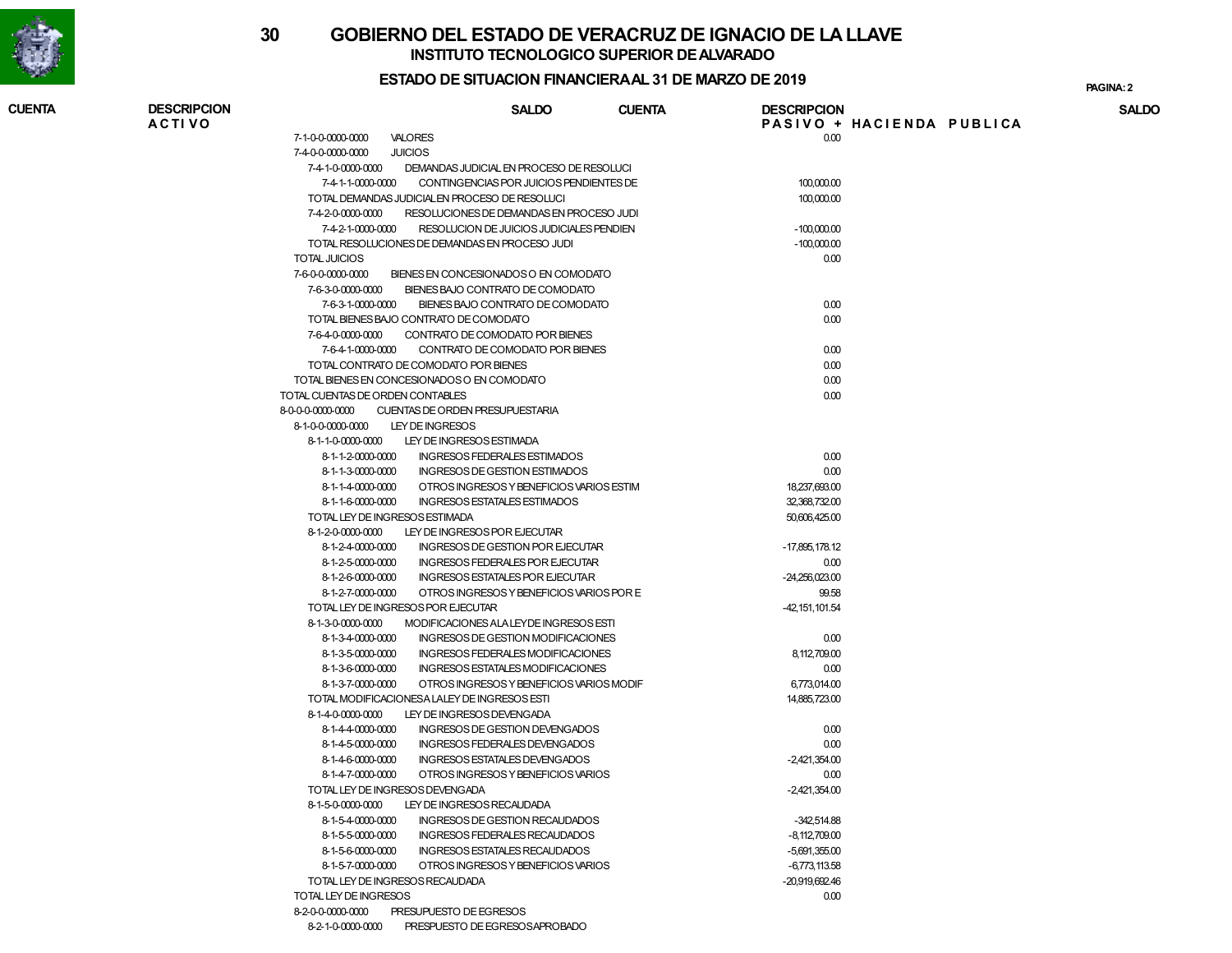

#### **ESTADO DE SITUACION FINANCIERA AL 31 DE MARZO DE 2019**

**2PAGINA:**

| <b>CUENTA</b> | <b>DESCRIPCION</b> |                                                                                 | <b>SALDO</b>                                                                        | <b>CUENTA</b> | <b>DESCRIPCION</b> | PASIVO + HACIENDA PUBLICA | <b>SALDO</b> |
|---------------|--------------------|---------------------------------------------------------------------------------|-------------------------------------------------------------------------------------|---------------|--------------------|---------------------------|--------------|
|               | <b>ACTIVO</b>      | 7-1-0-0-0000-0000<br>VALORES                                                    |                                                                                     |               | 0.00               |                           |              |
|               |                    | <b>JUICIOS</b><br>7-4-0-0-0000-0000                                             |                                                                                     |               |                    |                           |              |
|               |                    | 7-4-1-0-0000-0000                                                               |                                                                                     |               |                    |                           |              |
|               |                    | 7-4-1-1-0000-0000                                                               | DEMANDAS JUDICIAL EN PROCESO DE RESOLUCI<br>CONTINGENCIAS POR JUICIOS PENDIENTES DE |               | 100,000.00         |                           |              |
|               |                    | TOTAL DEMANDAS JUDICIALEN PROCESO DE RESOLUCI                                   |                                                                                     |               | 100,000.00         |                           |              |
|               |                    | 7-4-2-0-0000-0000                                                               | RESOLUCIONES DE DEMANDAS EN PROCESO JUDI                                            |               |                    |                           |              |
|               |                    |                                                                                 | 7-4-2-1-0000-0000 RESOLUCION DE JUICIOS JUDICIALES PENDIEN                          |               | $-100,000.00$      |                           |              |
|               |                    | TOTAL RESOLUCIONES DE DEMANDAS EN PROCESO JUDI                                  |                                                                                     |               | $-100,000.00$      |                           |              |
|               |                    | <b>TOTAL JUICIOS</b>                                                            |                                                                                     |               | 0.00               |                           |              |
|               |                    | 7-6-0-0-0000-0000                                                               | BIENES EN CONCESIONADOS O EN COMODATO                                               |               |                    |                           |              |
|               |                    | 7-6-3-0-0000-0000                                                               | BIENES BAJO CONTRATO DE COMODATO                                                    |               |                    |                           |              |
|               |                    | 7-6-3-1-0000-0000                                                               | BIENES BAJO CONTRATO DE COMODATO                                                    |               | 0.00               |                           |              |
|               |                    | TOTAL BIENES BAJO CONTRATO DE COMODATO                                          |                                                                                     |               | 0.00               |                           |              |
|               |                    | 7-6-4-0-0000-0000                                                               | CONTRATO DE COMODATO POR BIENES                                                     |               |                    |                           |              |
|               |                    |                                                                                 |                                                                                     |               |                    |                           |              |
|               |                    | 7-6-4-1-0000-0000<br>TOTAL CONTRATO DE COMODATO POR BIENES                      | CONTRATO DE COMODATO POR BIENES                                                     |               | 0.00<br>0.00       |                           |              |
|               |                    |                                                                                 |                                                                                     |               |                    |                           |              |
|               |                    | TOTAL BIENES EN CONCESIONADOS O EN COMODATO<br>TOTAL CUENTAS DE ORDEN CONTABLES |                                                                                     |               | 0.00               |                           |              |
|               |                    |                                                                                 |                                                                                     |               | 0.00               |                           |              |
|               |                    | 8-0-0-0-0000-0000                                                               | CUENTAS DE ORDEN PRESUPUESTARIA                                                     |               |                    |                           |              |
|               |                    | 8-1-0-0-0000-0000<br>LEY DE INGRESOS                                            |                                                                                     |               |                    |                           |              |
|               |                    | 8-1-1-0-0000-0000                                                               | LEY DE INGRESOS ESTIMADA                                                            |               |                    |                           |              |
|               |                    | 8-1-1-2-0000-0000                                                               | INGRESOS FEDERALES ESTIMADOS                                                        |               | 0.00               |                           |              |
|               |                    | 8-1-1-3-0000-0000                                                               | INGRESOS DE GESTION ESTIMADOS                                                       |               | 0.00               |                           |              |
|               |                    | 8-1-1-4-0000-0000                                                               | OTROS INGRESOS Y BENEFICIOS VARIOS ESTIM                                            |               | 18,237,693.00      |                           |              |
|               |                    | 8-1-1-6-0000-0000                                                               | INGRESOS ESTATALES ESTIMADOS                                                        |               | 32,368,732.00      |                           |              |
|               |                    | TOTAL LEY DE INGRESOS ESTIMADA                                                  |                                                                                     |               | 50,606,425.00      |                           |              |
|               |                    | 8-1-2-0-0000-0000                                                               | LEY DE INGRESOS POR EJECUTAR                                                        |               |                    |                           |              |
|               |                    | 8-1-2-4-0000-0000                                                               | INGRESOS DE GESTION POR EJECUTAR                                                    |               | -17,895,178.12     |                           |              |
|               |                    | 8-1-2-5-0000-0000                                                               | INGRESOS FEDERALES POR EJECUTAR                                                     |               | 0.00               |                           |              |
|               |                    | 8-1-2-6-0000-0000                                                               | <b>INGRESOS ESTATALES POR EJECUTAR</b>                                              |               | $-24,256,023.00$   |                           |              |
|               |                    | 8-1-2-7-0000-0000                                                               | OTROS INGRESOS Y BENEFICIOS VARIOS POR E                                            |               | 99.58              |                           |              |
|               |                    | TOTAL LEY DE INGRESOS POR EJECUTAR                                              |                                                                                     |               | $-42, 151, 101.54$ |                           |              |
|               |                    | 8-1-3-0-0000-0000                                                               | MODIFICACIONES ALA LEYDE INGRESOS ESTI                                              |               |                    |                           |              |
|               |                    | 8-1-3-4-0000-0000                                                               | INGRESOS DE GESTION MODIFICACIONES                                                  |               | 0.00               |                           |              |
|               |                    | 8-1-3-5-0000-0000                                                               | INGRESOS FEDERALES MODIFICACIONES<br>INGRESOS ESTATALES MODIFICACIONES              |               | 8,112,709.00       |                           |              |
|               |                    | 8-1-3-6-0000-0000                                                               |                                                                                     |               | 0.00               |                           |              |
|               |                    | 8-1-3-7-0000-0000<br>TOTAL MODIFICACIONES A LALEY DE INGRESOS ESTI              | OTROS INGRESOS Y BENEFICIOS VARIOS MODIF                                            |               | 6,773,014.00       |                           |              |
|               |                    | 8-1-4-0-0000-0000                                                               |                                                                                     |               | 14,885,723.00      |                           |              |
|               |                    |                                                                                 | LEY DE INGRESOS DEVENGADA                                                           |               |                    |                           |              |
|               |                    | 8-1-4-4-0000-0000                                                               | INGRESOS DE GESTION DEVENGADOS                                                      |               | 0.00               |                           |              |
|               |                    | 8-1-4-5-0000-0000<br>8-1-4-6-0000-0000                                          | INGRESOS FEDERALES DEVENGADOS<br><b>INGRESOS ESTATALES DEVENGADOS</b>               |               | 0.00               |                           |              |
|               |                    |                                                                                 | OTROS INGRESOS Y BENEFICIOS VARIOS                                                  |               | $-2,421,354.00$    |                           |              |
|               |                    | 8-1-4-7-0000-0000                                                               |                                                                                     |               | 0.00               |                           |              |
|               |                    | TOTAL LEY DE INGRESOS DEVENGADA                                                 |                                                                                     |               | $-2,421,354.00$    |                           |              |
|               |                    | 8-1-5-0-0000-0000                                                               | LEY DE INGRESOS RECAUDADA                                                           |               |                    |                           |              |
|               |                    | 8-1-5-4-0000-0000                                                               | INGRESOS DE GESTION RECAUDADOS                                                      |               | $-342,514.88$      |                           |              |
|               |                    | 8-1-5-5-0000-0000                                                               | <b>INGRESOS FEDERALES RECAUDADOS</b>                                                |               | $-8,112,709.00$    |                           |              |
|               |                    | 8-1-5-6-0000-0000                                                               | INGRESOS ESTATALES RECAUDADOS                                                       |               | $-5,691,355.00$    |                           |              |
|               |                    | 8-1-5-7-0000-0000                                                               | OTROS INGRESOS Y BENEFICIOS VARIOS                                                  |               | $-6,773,113.58$    |                           |              |
|               |                    | TOTAL LEY DE INGRESOS RECAUDADA                                                 |                                                                                     |               | -20,919,692.46     |                           |              |
|               |                    | TOTAL LEY DE INGRESOS                                                           |                                                                                     |               | 0.00               |                           |              |
|               |                    | 8-2-0-0-0000-0000                                                               | PRESUPUESTO DE EGRESOS                                                              |               |                    |                           |              |
|               |                    | 8-2-1-0-0000-0000 PRESPUESTO DE EGRESOSAPROBADO                                 |                                                                                     |               |                    |                           |              |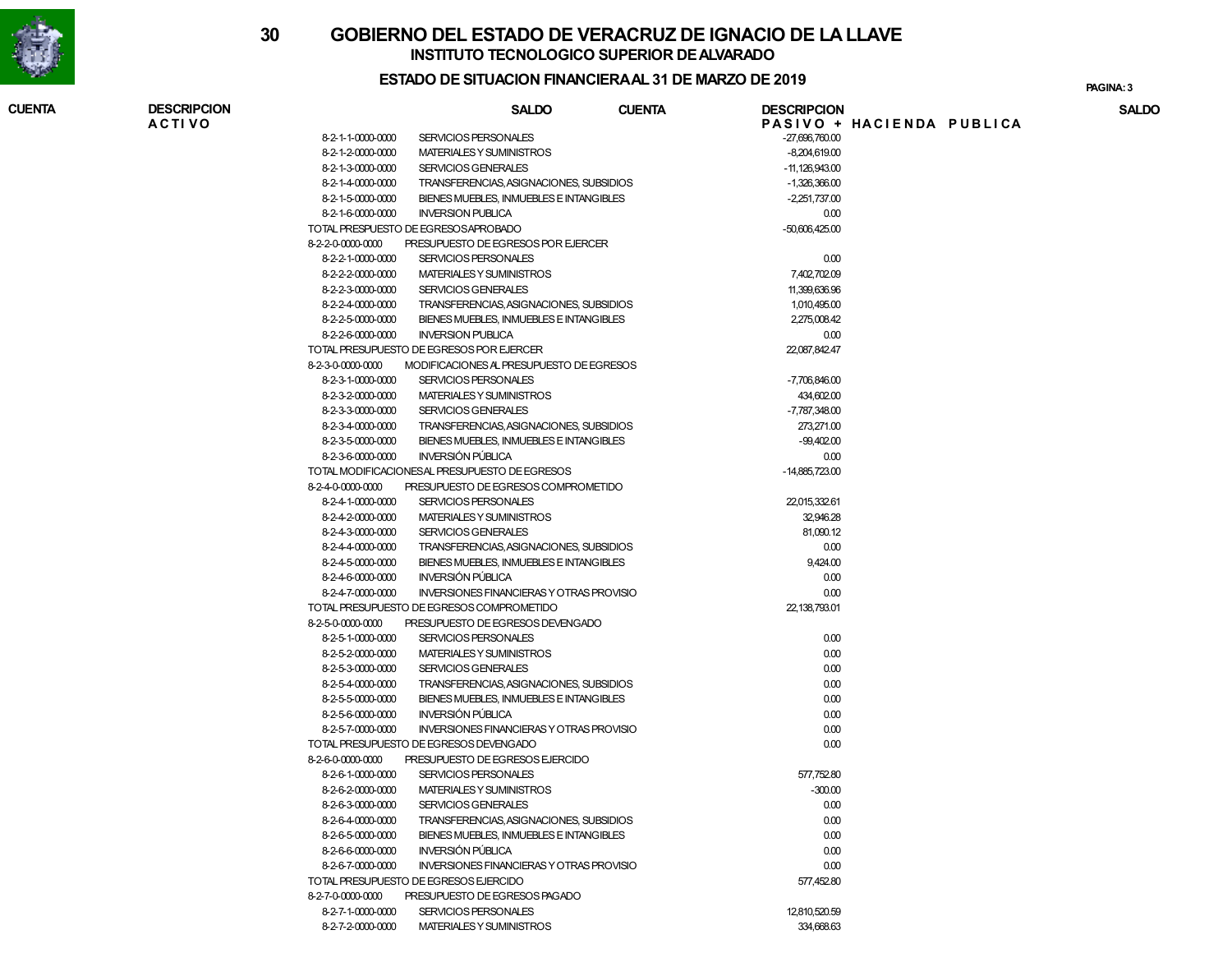

#### **ESTADO DE SITUACION FINANCIERA AL 31 DE MARZO DE 2019**

**3PAGINA:** 3

| <b>CUENTA</b> | <b>DESCRIPCION</b><br><b>ACTIVO</b> |                   | <b>SALDO</b>                                                | <b>CUENTA</b> | <b>DESCRIPCION</b>     | PASIVO + HACIENDA PUBLICA | <b>SALDO</b> |
|---------------|-------------------------------------|-------------------|-------------------------------------------------------------|---------------|------------------------|---------------------------|--------------|
|               |                                     | 8-2-1-1-0000-0000 | SERVICIOS PERSONALES                                        |               | $-27,696,760.00$       |                           |              |
|               |                                     | 8-2-1-2-0000-0000 | MATERIALES Y SUMINISTROS                                    |               | $-8,204,619.00$        |                           |              |
|               |                                     | 8-2-1-3-0000-0000 | <b>SERVICIOS GENERALES</b>                                  |               | $-11,126,943.00$       |                           |              |
|               |                                     | 8-2-1-4-0000-0000 | TRANSFERENCIAS, ASIGNACIONES, SUBSIDIOS                     |               | $-1,326,366.00$        |                           |              |
|               |                                     | 8-2-1-5-0000-0000 | BIENES MUEBLES, INMUEBLES E INTANGIBLES                     |               | $-2,251,737.00$        |                           |              |
|               |                                     | 8-2-1-6-0000-0000 | <b>INVERSION PUBLICA</b>                                    |               | 0.00                   |                           |              |
|               |                                     |                   | TOTAL PRESPUESTO DE EGRESOSAPROBADO                         |               | $-50,606,425.00$       |                           |              |
|               |                                     | 8-2-2-0-0000-0000 | PRESUPUESTO DE EGRESOS POR EJERCER                          |               |                        |                           |              |
|               |                                     | 8-2-2-1-0000-0000 | SERVICIOS PERSONALES                                        |               | 0.00                   |                           |              |
|               |                                     | 8-2-2-2-0000-0000 | MATERIALES Y SUMINISTROS                                    |               | 7,402,702.09           |                           |              |
|               |                                     | 8-2-2-3-0000-0000 | <b>SERVICIOS GENERALES</b>                                  |               | 11,399,636.96          |                           |              |
|               |                                     | 8-2-2-4-0000-0000 | TRANSFERENCIAS, ASIGNACIONES, SUBSIDIOS                     |               | 1,010,495.00           |                           |              |
|               |                                     | 8-2-2-5-0000-0000 | BIENES MUEBLES. INMUEBLES E INTANGIBLES                     |               | 2,275,008.42           |                           |              |
|               |                                     | 8-2-2-6-0000-0000 | <b>INVERSION PUBLICA</b>                                    |               | 0.00                   |                           |              |
|               |                                     |                   | TOTAL PRESUPUESTO DE EGRESOS POR EJERCER                    |               | 22,087,842.47          |                           |              |
|               |                                     | 8-2-3-0-0000-0000 | MODIFICACIONES AL PRESUPUESTO DE EGRESOS                    |               |                        |                           |              |
|               |                                     | 8-2-3-1-0000-0000 | SERVICIOS PERSONALES                                        |               | -7,706,846.00          |                           |              |
|               |                                     | 8-2-3-2-0000-0000 | MATERIALES Y SUMINISTROS                                    |               | 434,602.00             |                           |              |
|               |                                     | 8-2-3-3-0000-0000 | SERVICIOS GENERALES                                         |               | -7,787,348.00          |                           |              |
|               |                                     | 8-2-3-4-0000-0000 | TRANSFERENCIAS, ASIGNACIONES, SUBSIDIOS                     |               | 273,271.00             |                           |              |
|               |                                     | 8-2-3-5-0000-0000 | BIENES MUEBLES, INMUEBLES E INTANGIBLES                     |               | $-99,402.00$           |                           |              |
|               |                                     |                   | <b>INVERSIÓN PÚBLICA</b>                                    |               |                        |                           |              |
|               |                                     | 8-2-3-6-0000-0000 | TOTAL MODIFICACIONES AL PRESUPUESTO DE EGRESOS              |               | 0.00<br>-14.885.723.00 |                           |              |
|               |                                     |                   |                                                             |               |                        |                           |              |
|               |                                     | 8-2-4-0-0000-0000 | PRESUPUESTO DE EGRESOS COMPROMETIDO<br>SERVICIOS PERSONALES |               |                        |                           |              |
|               |                                     | 8-2-4-1-0000-0000 | MATERIALES Y SUMINISTROS                                    |               | 22,015,332.61          |                           |              |
|               |                                     | 8-2-4-2-0000-0000 |                                                             |               | 32,946.28              |                           |              |
|               |                                     | 8-2-4-3-0000-0000 | SERVICIOS GENERALES                                         |               | 81,090.12              |                           |              |
|               |                                     | 8-2-4-4-0000-0000 | TRANSFERENCIAS, ASIGNACIONES, SUBSIDIOS                     |               | 0.00                   |                           |              |
|               |                                     | 8-2-4-5-0000-0000 | BIENES MUEBLES, INMUEBLES E INTANGIBLES                     |               | 9,424.00               |                           |              |
|               |                                     | 8-2-4-6-0000-0000 | <b>INVERSIÓN PÚBLICA</b>                                    |               | 0.00                   |                           |              |
|               |                                     | 8-2-4-7-0000-0000 | <b>INVERSIONES FINANCIERAS Y OTRAS PROVISIO</b>             |               | 0.00                   |                           |              |
|               |                                     |                   | TOTAL PRESUPUESTO DE EGRESOS COMPROMETIDO                   |               | 22,138,793.01          |                           |              |
|               |                                     | 8-2-5-0-0000-0000 | PRESUPUESTO DE EGRESOS DEVENGADO                            |               |                        |                           |              |
|               |                                     | 8-2-5-1-0000-0000 | SERVICIOS PERSONALES                                        |               | 0.00                   |                           |              |
|               |                                     | 8-2-5-2-0000-0000 | MATERIALES Y SUMINISTROS                                    |               | 0.00                   |                           |              |
|               |                                     | 8-2-5-3-0000-0000 | SERVICIOS GENERALES                                         |               | 0.00                   |                           |              |
|               |                                     | 8-2-5-4-0000-0000 | TRANSFERENCIAS, ASIGNACIONES, SUBSIDIOS                     |               | 0.00                   |                           |              |
|               |                                     | 8-2-5-5-0000-0000 | BIENES MUEBLES, INMUEBLES E INTANGIBLES                     |               | 0.00                   |                           |              |
|               |                                     | 8-2-5-6-0000-0000 | INVERSIÓN PÚBLICA                                           |               | 0.00                   |                           |              |
|               |                                     | 8-2-5-7-0000-0000 | <b>INVERSIONES FINANCIERAS Y OTRAS PROVISIO</b>             |               | 0.00                   |                           |              |
|               |                                     |                   | TOTAL PRESUPUESTO DE EGRESOS DEVENGADO                      |               | 0.00                   |                           |              |
|               |                                     | 8-2-6-0-0000-0000 | PRESUPUESTO DE EGRESOS EJERCIDO                             |               |                        |                           |              |
|               |                                     | 8-2-6-1-0000-0000 | SERVICIOS PERSONALES                                        |               | 577,752.80             |                           |              |
|               |                                     | 8-2-6-2-0000-0000 | MATERIALES Y SUMINISTROS                                    |               | $-300.00$              |                           |              |
|               |                                     | 8-2-6-3-0000-0000 | SERVICIOS GENERALES                                         |               | 0.00                   |                           |              |
|               |                                     | 8-2-6-4-0000-0000 | TRANSFERENCIAS, ASIGNACIONES, SUBSIDIOS                     |               | 0.00                   |                           |              |
|               |                                     | 8-2-6-5-0000-0000 | BIENES MUEBLES. INMUEBLES E INTANGIBLES                     |               | 0.00                   |                           |              |
|               |                                     | 8-2-6-6-0000-0000 | <b>INVERSIÓN PÚBLICA</b>                                    |               | 0.00                   |                           |              |
|               |                                     | 8-2-6-7-0000-0000 | <b>INVERSIONES FINANCIERAS Y OTRAS PROVISIO</b>             |               | 0.00                   |                           |              |
|               |                                     |                   | TOTAL PRESUPUESTO DE EGRESOS EJERCIDO                       |               | 577,452.80             |                           |              |
|               |                                     | 8-2-7-0-0000-0000 | PRESUPUESTO DE EGRESOS PAGADO                               |               |                        |                           |              |
|               |                                     | 8-2-7-1-0000-0000 | SERVICIOS PERSONALES                                        |               | 12,810,520.59          |                           |              |
|               |                                     |                   | 8-2-7-2-0000-0000 MATERIALES Y SUMINISTROS                  |               | 334,668,63             |                           |              |

S 334,668.63